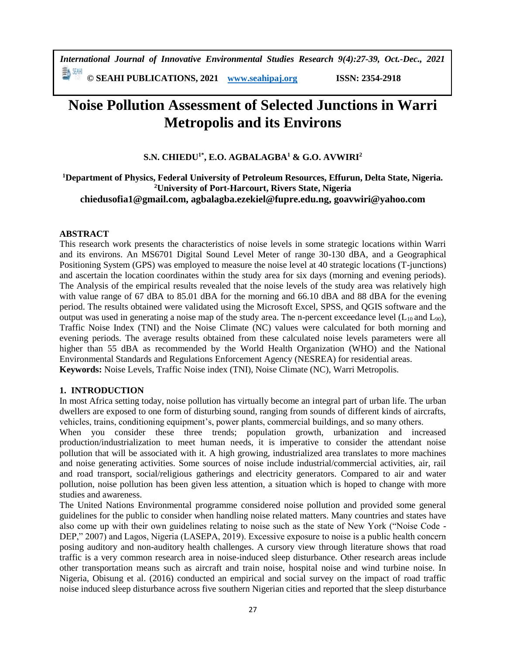*International Journal of Innovative Environmental Studies Research 9(4):27-39, Oct.-Dec., 2021* 

**© SEAHI PUBLICATIONS, 2021 [www.seahipaj.org](http://www.seahipaj.org/) ISSN: 2354-2918**

# **Noise Pollution Assessment of Selected Junctions in Warri Metropolis and its Environs**

# **S.N. CHIEDU1\*, E.O. AGBALAGBA<sup>1</sup> & G.O. AVWIRI<sup>2</sup>**

# **<sup>1</sup>Department of Physics, Federal University of Petroleum Resources, Effurun, Delta State, Nigeria. <sup>2</sup>University of Port-Harcourt, Rivers State, Nigeria [chiedusofia1@gmail.com,](mailto:chiedusofia1@gmail.com) [agbalagba.ezekiel@fupre.edu.ng,](mailto:agbalagba.ezekiel@fupre.edu.ng) [goavwiri@yahoo.com](mailto:goavwiri@yahoo.com)**

# **ABSTRACT**

This research work presents the characteristics of noise levels in some strategic locations within Warri and its environs. An MS6701 Digital Sound Level Meter of range 30-130 dBA, and a Geographical Positioning System (GPS) was employed to measure the noise level at 40 strategic locations (T-junctions) and ascertain the location coordinates within the study area for six days (morning and evening periods). The Analysis of the empirical results revealed that the noise levels of the study area was relatively high with value range of 67 dBA to 85.01 dBA for the morning and 66.10 dBA and 88 dBA for the evening period. The results obtained were validated using the Microsoft Excel, SPSS, and QGIS software and the output was used in generating a noise map of the study area. The n-percent exceedance level  $(L_{10}$  and  $L_{90})$ , Traffic Noise Index (TNI) and the Noise Climate (NC) values were calculated for both morning and evening periods. The average results obtained from these calculated noise levels parameters were all higher than 55 dBA as recommended by the World Health Organization (WHO) and the National Environmental Standards and Regulations Enforcement Agency (NESREA) for residential areas. **Keywords:** Noise Levels, Traffic Noise index (TNI), Noise Climate (NC), Warri Metropolis.

# **1. INTRODUCTION**

In most Africa setting today, noise pollution has virtually become an integral part of urban life. The urban dwellers are exposed to one form of disturbing sound, ranging from sounds of different kinds of aircrafts, vehicles, trains, conditioning equipment's, power plants, commercial buildings, and so many others.

When you consider these three trends; population growth, urbanization and increased production/industrialization to meet human needs, it is imperative to consider the attendant noise pollution that will be associated with it. A high growing, industrialized area translates to more machines and noise generating activities. Some sources of noise include industrial/commercial activities, air, rail and road transport, social/religious gatherings and electricity generators. Compared to air and water pollution, noise pollution has been given less attention, a situation which is hoped to change with more studies and awareness.

The United Nations Environmental programme considered noise pollution and provided some general guidelines for the public to consider when handling noise related matters. Many countries and states have also come up with their own guidelines relating to noise such as the state of New York ("Noise Code - DEP," 2007) and Lagos, Nigeria (LASEPA, 2019). Excessive exposure to noise is a public health concern posing auditory and non-auditory health challenges. A cursory view through literature shows that road traffic is a very common research area in noise-induced sleep disturbance. Other research areas include other transportation means such as aircraft and train noise, hospital noise and wind turbine noise. In Nigeria, Obisung et al. (2016) conducted an empirical and social survey on the impact of road traffic noise induced sleep disturbance across five southern Nigerian cities and reported that the sleep disturbance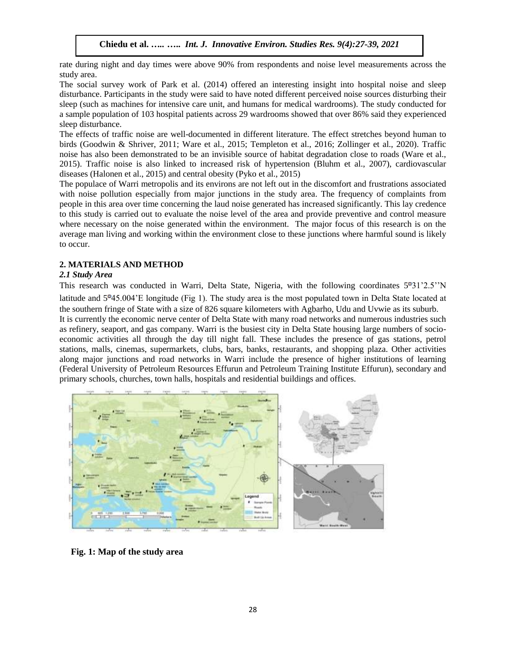rate during night and day times were above 90% from respondents and noise level measurements across the study area.

The social survey work of Park et al. (2014) offered an interesting insight into hospital noise and sleep disturbance. Participants in the study were said to have noted different perceived noise sources disturbing their sleep (such as machines for intensive care unit, and humans for medical wardrooms). The study conducted for a sample population of 103 hospital patients across 29 wardrooms showed that over 86% said they experienced sleep disturbance.

The effects of traffic noise are well-documented in different literature. The effect stretches beyond human to birds (Goodwin & Shriver, 2011; Ware et al., 2015; Templeton et al., 2016; Zollinger et al., 2020). Traffic noise has also been demonstrated to be an invisible source of habitat degradation close to roads (Ware et al., 2015). Traffic noise is also linked to increased risk of hypertension (Bluhm et al., 2007), cardiovascular diseases (Halonen et al., 2015) and central obesity (Pyko et al., 2015)

The populace of Warri metropolis and its environs are not left out in the discomfort and frustrations associated with noise pollution especially from major junctions in the study area. The frequency of complaints from people in this area over time concerning the laud noise generated has increased significantly. This lay credence to this study is carried out to evaluate the noise level of the area and provide preventive and control measure where necessary on the noise generated within the environment. The major focus of this research is on the average man living and working within the environment close to these junctions where harmful sound is likely to occur.

# **2. MATERIALS AND METHOD**

# *2.1 Study Area*

This research was conducted in Warri, Delta State, Nigeria, with the following coordinates 5°31'2.5"N latitude and  $5^{\circ}45.004$ 'E longitude (Fig 1). The study area is the most populated town in Delta State located at the southern fringe of State with a size of 826 square kilometers with Agbarho, Udu and Uvwie as its suburb.

It is currently the economic nerve center of Delta State with many road networks and numerous industries such as refinery, seaport, and gas company. Warri is the busiest city in Delta State housing large numbers of socioeconomic activities all through the day till night fall. These includes the presence of gas stations, petrol stations, malls, cinemas, supermarkets, clubs, bars, banks, restaurants, and shopping plaza. Other activities along major junctions and road networks in Warri include the presence of higher institutions of learning (Federal University of Petroleum Resources Effurun and Petroleum Training Institute Effurun), secondary and primary schools, churches, town halls, hospitals and residential buildings and offices.



 **Fig. 1: Map of the study area**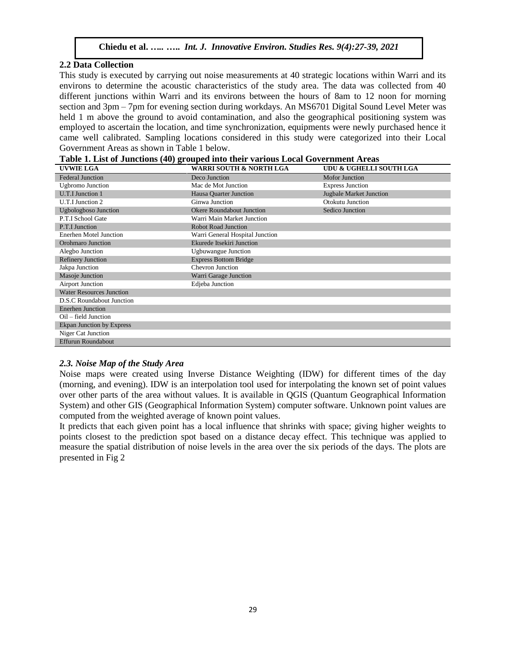### **2.2 Data Collection**

This study is executed by carrying out noise measurements at 40 strategic locations within Warri and its environs to determine the acoustic characteristics of the study area. The data was collected from 40 different junctions within Warri and its environs between the hours of 8am to 12 noon for morning section and 3pm – 7pm for evening section during workdays. An MS6701 Digital Sound Level Meter was held 1 m above the ground to avoid contamination, and also the geographical positioning system was employed to ascertain the location, and time synchronization, equipments were newly purchased hence it came well calibrated. Sampling locations considered in this study were categorized into their Local Government Areas as shown in Table 1 below.

| Table 1. List of Junctions (40) grouped into their various Local Government Areas |  |
|-----------------------------------------------------------------------------------|--|
|-----------------------------------------------------------------------------------|--|

| <b>UVWIE LGA</b>                 | <b>WARRI SOUTH &amp; NORTH LGA</b> | UDU & UGHELLI SOUTH LGA        |
|----------------------------------|------------------------------------|--------------------------------|
| <b>Federal Junction</b>          | Deco Junction                      | <b>Mofor Junction</b>          |
| <b>Ugbromo Junction</b>          | Mac de Mot Junction                | <b>Express Junction</b>        |
| <b>U.T.I Junction 1</b>          | Hausa Quarter Junction             | <b>Jugbale Market Junction</b> |
| U.T.I Junction 2                 | Ginwa Junction                     | Otokutu Junction               |
| <b>Ugbologboso Junction</b>      | <b>Okere Roundabout Junction</b>   | Sedico Junction                |
| P.T.I School Gate                | Warri Main Market Junction         |                                |
| P.T.I Junction                   | <b>Robot Road Junction</b>         |                                |
| Enerhen Motel Junction           | Warri General Hospital Junction    |                                |
| Orohmaro Junction                | Ekurede Itsekiri Junction          |                                |
| Alegbo Junction                  | <b>Ugbuwangue Junction</b>         |                                |
| <b>Refinery Junction</b>         | <b>Express Bottom Bridge</b>       |                                |
| Jakpa Junction                   | Chevron Junction                   |                                |
| Masoje Junction                  | Warri Garage Junction              |                                |
| <b>Airport Junction</b>          | Edjeba Junction                    |                                |
| <b>Water Resources Junction</b>  |                                    |                                |
| D.S.C Roundabout Junction        |                                    |                                |
| <b>Enerhen Junction</b>          |                                    |                                |
| Oil – field Junction             |                                    |                                |
| <b>Ekpan Junction by Express</b> |                                    |                                |
| Niger Cat Junction               |                                    |                                |
| <b>Effurun Roundabout</b>        |                                    |                                |

#### *2.3. Noise Map of the Study Area*

Noise maps were created using Inverse Distance Weighting (IDW) for different times of the day (morning, and evening). IDW is an interpolation tool used for interpolating the known set of point values over other parts of the area without values. It is available in QGIS (Quantum Geographical Information System) and other GIS (Geographical Information System) computer software. Unknown point values are computed from the weighted average of known point values.

It predicts that each given point has a local influence that shrinks with space; giving higher weights to points closest to the prediction spot based on a distance decay effect. This technique was applied to measure the spatial distribution of noise levels in the area over the six periods of the days. The plots are presented in Fig 2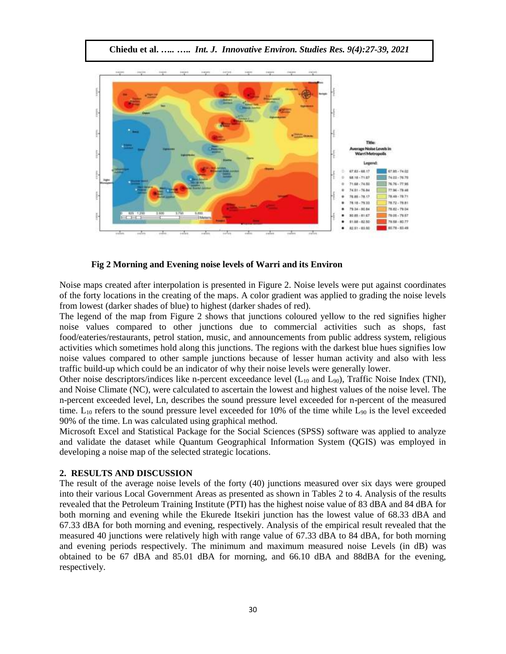

**Chiedu et al.** *…..* **…..** *Int. J. Innovative Environ. Studies Res. 9(4):27-39, 2021*

 **Fig 2 Morning and Evening noise levels of Warri and its Environ**

Noise maps created after interpolation is presented in Figure 2. Noise levels were put against coordinates of the forty locations in the creating of the maps. A color gradient was applied to grading the noise levels from lowest (darker shades of blue) to highest (darker shades of red).

The legend of the map from Figure 2 shows that junctions coloured yellow to the red signifies higher noise values compared to other junctions due to commercial activities such as shops, fast food/eateries/restaurants, petrol station, music, and announcements from public address system, religious activities which sometimes hold along this junctions. The regions with the darkest blue hues signifies low noise values compared to other sample junctions because of lesser human activity and also with less traffic build-up which could be an indicator of why their noise levels were generally lower.

Other noise descriptors/indices like n-percent exceedance level  $(L_{10}$  and  $L_{90}$ ), Traffic Noise Index (TNI), and Noise Climate (NC), were calculated to ascertain the lowest and highest values of the noise level. The n-percent exceeded level, Ln, describes the sound pressure level exceeded for n-percent of the measured time.  $L_{10}$  refers to the sound pressure level exceeded for 10% of the time while  $L_{90}$  is the level exceeded 90% of the time. Ln was calculated using graphical method.

Microsoft Excel and Statistical Package for the Social Sciences (SPSS) software was applied to analyze and validate the dataset while Quantum Geographical Information System (QGIS) was employed in developing a noise map of the selected strategic locations.

#### **2. RESULTS AND DISCUSSION**

The result of the average noise levels of the forty (40) junctions measured over six days were grouped into their various Local Government Areas as presented as shown in Tables 2 to 4. Analysis of the results revealed that the Petroleum Training Institute (PTI) has the highest noise value of 83 dBA and 84 dBA for both morning and evening while the Ekurede Itsekiri junction has the lowest value of 68.33 dBA and 67.33 dBA for both morning and evening, respectively. Analysis of the empirical result revealed that the measured 40 junctions were relatively high with range value of 67.33 dBA to 84 dBA, for both morning and evening periods respectively. The minimum and maximum measured noise Levels (in dB) was obtained to be 67 dBA and 85.01 dBA for morning, and 66.10 dBA and 88dBA for the evening, respectively.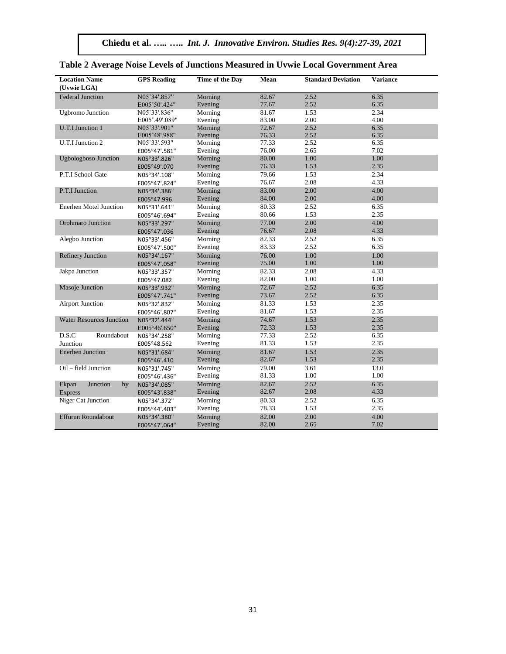**Chiedu et al.** *…..* **…..** *Int. J. Innovative Environ. Studies Res. 9(4):27-39, 2021*

| <b>Location Name</b><br>(Uvwie LGA) | <b>GPS</b> Reading | Time of the Day | Mean  | <b>Standard Deviation</b> | <b>Variance</b> |
|-------------------------------------|--------------------|-----------------|-------|---------------------------|-----------------|
| <b>Federal Junction</b>             | N05°34'.857"       | Morning         | 82.67 | 2.52                      | 6.35            |
|                                     | E005°50'.424"      | Evening         | 77.67 | 2.52                      | 6.35            |
| <b>Ugbromo</b> Junction             | N05°33'.836"       | Morning         | 81.67 | 1.53                      | 2.34            |
|                                     | E005°.49'.089"     | Evening         | 83.00 | 2.00                      | 4.00            |
| U.T.I Junction 1                    | N05°33'.901"       | Morning         | 72.67 | 2.52                      | 6.35            |
|                                     | E005°48'.988"      | Evening         | 76.33 | 2.52                      | 6.35            |
| U.T.I Junction 2                    | N05°33'.593"       | Morning         | 77.33 | 2.52                      | 6.35            |
|                                     | E005°47'.581"      | Evening         | 76.00 | 2.65                      | 7.02            |
| <b>Ugbologboso Junction</b>         | N05°33'.826"       | Morning         | 80.00 | 1.00                      | 1.00            |
|                                     | E005°49'.070       | Evening         | 76.33 | 1.53                      | 2.35            |
| P.T.I School Gate                   | N05°34'.108"       | Morning         | 79.66 | 1.53                      | 2.34            |
|                                     | E005°47'.824"      | Evening         | 76.67 | 2.08                      | 4.33            |
| P.T.I Junction                      | N05°34'.386"       | Morning         | 83.00 | 2.00                      | 4.00            |
|                                     | E005°47.996        | Evening         | 84.00 | 2.00                      | 4.00            |
| Enerhen Motel Junction              | N05°31'.641"       | Morning         | 80.33 | 2.52                      | 6.35            |
|                                     | E005°46'.694"      | Evening         | 80.66 | 1.53                      | 2.35            |
| <b>Orohmaro Junction</b>            | N05°33'.297"       | Morning         | 77.00 | 2.00                      | 4.00            |
|                                     | E005°47'.036       | Evening         | 76.67 | 2.08                      | 4.33            |
| Alegbo Junction                     | N05°33'.456"       | Morning         | 82.33 | 2.52                      | 6.35            |
|                                     | E005°47'.500"      | Evening         | 83.33 | 2.52                      | 6.35            |
| <b>Refinery Junction</b>            | N05°34'.167"       | Morning         | 76.00 | 1.00                      | 1.00            |
|                                     | E005°47'.058"      | Evening         | 75.00 | 1.00                      | $1.00\,$        |
| Jakpa Junction                      | N05°33'.357"       | Morning         | 82.33 | 2.08                      | 4.33            |
|                                     | E005°47.082        | Evening         | 82.00 | 1.00                      | 1.00            |
| Masoje Junction                     | N05°33'.932"       | Morning         | 72.67 | 2.52                      | 6.35            |
|                                     | E005°47'.741"      | Evening         | 73.67 | 2.52                      | 6.35            |
| <b>Airport Junction</b>             | N05°32'.832"       | Morning         | 81.33 | 1.53                      | 2.35            |
|                                     | E005°46'.807"      | Evening         | 81.67 | 1.53                      | 2.35            |
| <b>Water Resources Junction</b>     | N05°32'.444"       | Morning         | 74.67 | 1.53                      | 2.35            |
|                                     | E005°46'.650"      | Evening         | 72.33 | 1.53                      | 2.35            |
| D.S.C<br>Roundabout                 | N05°34'.258"       | Morning         | 77.33 | 2.52                      | 6.35            |
| Junction                            | E005°48.562        | Evening         | 81.33 | 1.53                      | 2.35            |
| <b>Enerhen Junction</b>             | N05°31'.684"       | Morning         | 81.67 | 1.53                      | 2.35            |
|                                     | E005°46'.410       | Evening         | 82.67 | 1.53                      | 2.35            |
| Oil – field Junction                | N05°31'.745"       | Morning         | 79.00 | 3.61                      | 13.0            |
|                                     | E005°46'.436"      | Evening         | 81.33 | 1.00                      | 1.00            |
| Ekpan<br>Junction<br>by             | N05°34'.085"       | Morning         | 82.67 | 2.52                      | 6.35            |
| <b>Express</b>                      | E005°43'.838"      | Evening         | 82.67 | 2.08                      | 4.33            |
| Niger Cat Junction                  | N05°34'.372"       | Morning         | 80.33 | 2.52                      | 6.35            |
|                                     | E005°44'.403"      | Evening         | 78.33 | 1.53                      | 2.35            |
| Effurun Roundabout                  | N05°34'.380"       | Morning         | 82.00 | 2.00                      | 4.00            |
|                                     | E005°47'.064"      | Evening         | 82.00 | 2.65                      | 7.02            |

|  | Table 2 Average Noise Levels of Junctions Measured in Uvwie Local Government Area |  |  |
|--|-----------------------------------------------------------------------------------|--|--|
|--|-----------------------------------------------------------------------------------|--|--|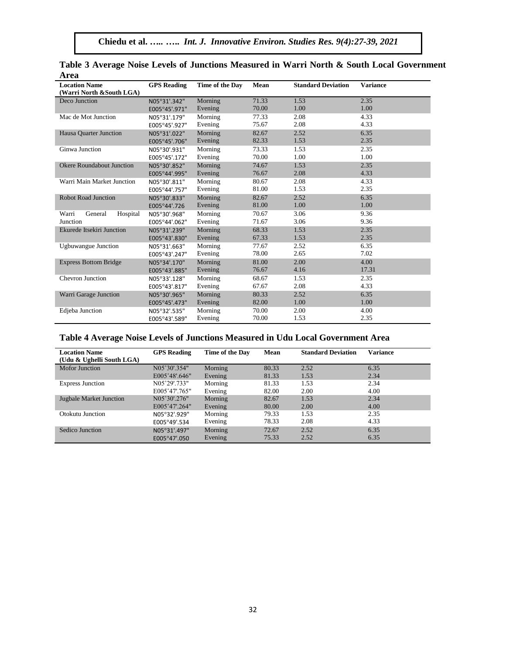| <b>Location Name</b><br>(Warri North &South LGA) | <b>GPS</b> Reading | Time of the Day | Mean  | <b>Standard Deviation</b> | <b>Variance</b> |
|--------------------------------------------------|--------------------|-----------------|-------|---------------------------|-----------------|
| Deco Junction                                    | N05°31'.342"       | Morning         | 71.33 | 1.53                      | 2.35            |
|                                                  | E005°45'.971"      | Evening         | 70.00 | 1.00                      | 1.00            |
| Mac de Mot Junction                              | N05°31'.179"       | Morning         | 77.33 | 2.08                      | 4.33            |
|                                                  | E005°45'.927"      | Evening         | 75.67 | 2.08                      | 4.33            |
| Hausa Ouarter Junction                           | N05°31'.022"       | Morning         | 82.67 | 2.52                      | 6.35            |
|                                                  | E005°45'.706"      | Evening         | 82.33 | 1.53                      | 2.35            |
| Ginwa Junction                                   | N05°30'.931"       | Morning         | 73.33 | 1.53                      | 2.35            |
|                                                  | E005°45'.172"      | Evening         | 70.00 | 1.00                      | 1.00            |
| <b>Okere Roundabout Junction</b>                 | N05°30'.852"       | Morning         | 74.67 | 1.53                      | 2.35            |
|                                                  | E005°44'.995"      | Evening         | 76.67 | 2.08                      | 4.33            |
| Warri Main Market Junction                       | N05°30'.811"       | Morning         | 80.67 | 2.08                      | 4.33            |
|                                                  | E005°44'.757"      | Evening         | 81.00 | 1.53                      | 2.35            |
| <b>Robot Road Junction</b>                       | N05°30'.833"       | Morning         | 82.67 | 2.52                      | 6.35            |
|                                                  | E005°44'.726       | Evening         | 81.00 | 1.00                      | 1.00            |
| General<br>Hospital<br>Warri                     | N05°30'.968"       | Morning         | 70.67 | 3.06                      | 9.36            |
| Junction                                         | E005°44'.062"      | Evening         | 71.67 | 3.06                      | 9.36            |
| Ekurede Itsekiri Junction                        | N05°31'.239"       | Morning         | 68.33 | 1.53                      | 2.35            |
|                                                  | E005°43'.830"      | Evening         | 67.33 | 1.53                      | 2.35            |
| <b>Ugbuwangue Junction</b>                       | N05°31'.663"       | Morning         | 77.67 | 2.52                      | 6.35            |
|                                                  | E005°43'.247"      | Evening         | 78.00 | 2.65                      | 7.02            |
| <b>Express Bottom Bridge</b>                     | N05°34'.170"       | Morning         | 81.00 | 2.00                      | 4.00            |
|                                                  | E005°43'.885"      | Evening         | 76.67 | 4.16                      | 17.31           |
| <b>Chevron Junction</b>                          | N05°33'.128"       | Morning         | 68.67 | 1.53                      | 2.35            |
|                                                  | E005°43'.817"      | Evening         | 67.67 | 2.08                      | 4.33            |
| Warri Garage Junction                            | N05°30'.965"       | Morning         | 80.33 | 2.52                      | 6.35            |
|                                                  | E005°45'.473"      | Evening         | 82.00 | 1.00                      | 1.00            |
| <b>Edjeba</b> Junction                           | N05°32'.535"       | Morning         | 70.00 | 2.00                      | 4.00            |
|                                                  | E005°43'.589"      | Evening         | 70.00 | 1.53                      | 2.35            |

| Table 3 Average Noise Levels of Junctions Measured in Warri North & South Local Government |  |  |  |  |  |
|--------------------------------------------------------------------------------------------|--|--|--|--|--|
| Area                                                                                       |  |  |  |  |  |

# **Table 4 Average Noise Levels of Junctions Measured in Udu Local Government Area**

| <b>Location Name</b><br>(Udu & Ughelli South LGA) | <b>GPS</b> Reading | Time of the Day | Mean  | <b>Standard Deviation</b> | <b>Variance</b> |
|---------------------------------------------------|--------------------|-----------------|-------|---------------------------|-----------------|
| <b>Mofor Junction</b>                             | N05°30'.354"       | Morning         | 80.33 | 2.52                      | 6.35            |
|                                                   | E005°48'.646"      | Evening         | 81.33 | 1.53                      | 2.34            |
| <b>Express Junction</b>                           | N05°29'.733"       | Morning         | 81.33 | 1.53                      | 2.34            |
|                                                   | E005°47'.765"      | Evening         | 82.00 | 2.00                      | 4.00            |
| <b>Jugbale Market Junction</b>                    | N05°30'.276"       | Morning         | 82.67 | 1.53                      | 2.34            |
|                                                   | E005°47'.264"      | Evening         | 80.00 | 2.00                      | 4.00            |
| Otokutu Junction                                  | N05°32'.929"       | Morning         | 79.33 | 1.53                      | 2.35            |
|                                                   | E005°49'.534       | Evening         | 78.33 | 2.08                      | 4.33            |
| Sedico Junction                                   | N05°31'.497"       | Morning         | 72.67 | 2.52                      | 6.35            |
|                                                   | E005°47'.050       | Evening         | 75.33 | 2.52                      | 6.35            |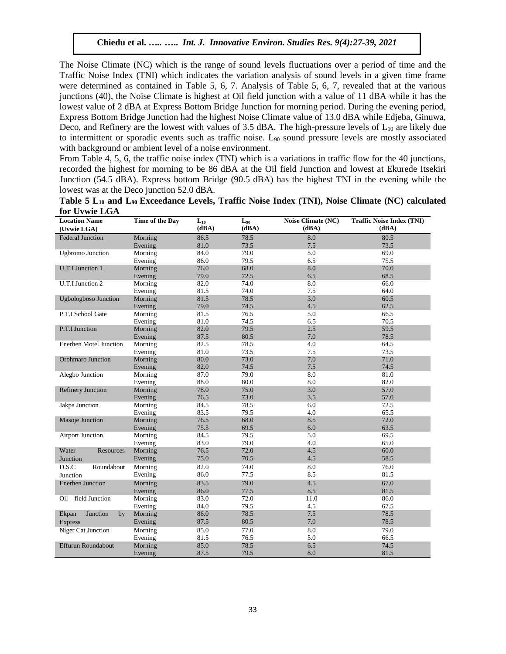The Noise Climate (NC) which is the range of sound levels fluctuations over a period of time and the Traffic Noise Index (TNI) which indicates the variation analysis of sound levels in a given time frame were determined as contained in Table 5, 6, 7. Analysis of Table 5, 6, 7, revealed that at the various junctions (40), the Noise Climate is highest at Oil field junction with a value of 11 dBA while it has the lowest value of 2 dBA at Express Bottom Bridge Junction for morning period. During the evening period, Express Bottom Bridge Junction had the highest Noise Climate value of 13.0 dBA while Edjeba, Ginuwa, Deco, and Refinery are the lowest with values of  $3.5$  dBA. The high-pressure levels of  $L_{10}$  are likely due to intermittent or sporadic events such as traffic noise. L<sup>90</sup> sound pressure levels are mostly associated with background or ambient level of a noise environment.

From Table 4, 5, 6, the traffic noise index (TNI) which is a variations in traffic flow for the 40 junctions, recorded the highest for morning to be 86 dBA at the Oil field Junction and lowest at Ekurede Itsekiri Junction (54.5 dBA). Express bottom Bridge (90.5 dBA) has the highest TNI in the evening while the lowest was at the Deco junction 52.0 dBA.

| Table 5 L <sub>10</sub> and L <sub>90</sub> Exceedance Levels, Traffic Noise Index (TNI), Noise Climate (NC) calculated |  |  |  |  |  |
|-------------------------------------------------------------------------------------------------------------------------|--|--|--|--|--|
| for Uvwie LGA                                                                                                           |  |  |  |  |  |

| <b>I'LL OF WILL LOTS</b><br><b>Location Name</b> | Time of the Day    |                   | $L_{90}$ | Noise Climate (NC) | <b>Traffic Noise Index (TNI)</b> |
|--------------------------------------------------|--------------------|-------------------|----------|--------------------|----------------------------------|
| (Uvwie LGA)                                      |                    | $L_{10}$<br>(dBA) | (dBA)    | (dBA)              | (dBA)                            |
| <b>Federal Junction</b>                          | Morning            | 86.5              | 78.5     | 8.0                | 80.5                             |
|                                                  | Evening            | 81.0              | 73.5     | 7.5                | 73.5                             |
| <b>Ugbromo</b> Junction                          | Morning            | 84.0              | 79.0     | 5.0                | 69.0                             |
|                                                  | Evening            | 86.0              | 79.5     | 6.5                | 75.5                             |
| <b>U.T.I Junction 1</b>                          | Morning            | 76.0              | 68.0     | 8.0                | 70.0                             |
|                                                  | Evening            | 79.0              | 72.5     | 6.5                | 68.5                             |
| U.T.I Junction 2                                 | Morning            | 82.0              | 74.0     | 8.0                | 66.0                             |
|                                                  | Evening            | 81.5              | 74.0     | 7.5                | 64.0                             |
| <b>Ugbologboso Junction</b>                      | Morning            | 81.5              | 78.5     | 3.0                | 60.5                             |
|                                                  | Evening            | 79.0              | 74.5     | 4.5                | 62.5                             |
| P.T.I School Gate                                | Morning            | 81.5              | 76.5     | 5.0                | 66.5                             |
|                                                  | Evening            | 81.0              | 74.5     | 6.5                | 70.5                             |
| P.T.I Junction                                   | Morning            | 82.0              | 79.5     | $2.5\,$            | 59.5                             |
|                                                  | Evening            | 87.5              | 80.5     | 7.0                | 78.5                             |
| <b>Enerhen Motel Junction</b>                    | Morning            | 82.5              | 78.5     | 4.0                | 64.5                             |
|                                                  | Evening            | 81.0              | 73.5     | 7.5                | 73.5                             |
| Orohmaro Junction                                | Morning            | 80.0              | 73.0     | 7.0                | 71.0                             |
|                                                  |                    | 82.0              | 74.5     | 7.5                | 74.5                             |
|                                                  | Evening<br>Morning | 87.0              | 79.0     | 8.0                | 81.0                             |
| Alegbo Junction                                  |                    |                   |          |                    |                                  |
|                                                  | Evening            | 88.0              | 80.0     | 8.0                | 82.0                             |
| <b>Refinery Junction</b>                         | Morning            | 78.0              | 75.0     | 3.0<br>3.5         | 57.0                             |
|                                                  | Evening            | 76.5              | 73.0     |                    | 57.0                             |
| Jakpa Junction                                   | Morning            | 84.5              | 78.5     | 6.0                | 72.5                             |
|                                                  | Evening            | 83.5              | 79.5     | 4.0                | 65.5                             |
| Masoje Junction                                  | Morning            | 76.5              | 68.0     | 8.5                | 72.0                             |
|                                                  | Evening            | 75.5              | 69.5     | 6.0                | 63.5                             |
| <b>Airport Junction</b>                          | Morning            | 84.5              | 79.5     | 5.0                | 69.5                             |
|                                                  | Evening            | 83.0              | 79.0     | 4.0                | 65.0                             |
| Water<br>Resources                               | Morning            | 76.5              | 72.0     | 4.5                | 60.0                             |
| Junction                                         | Evening            | 75.0              | 70.5     | 4.5                | 58.5                             |
| D.S.C<br>Roundabout                              | Morning            | 82.0              | 74.0     | 8.0                | 76.0                             |
| Junction                                         | Evening            | 86.0              | 77.5     | 8.5                | 81.5                             |
| <b>Enerhen Junction</b>                          | Morning            | 83.5              | 79.0     | 4.5                | 67.0                             |
|                                                  | Evening            | 86.0              | 77.5     | 8.5                | 81.5                             |
| Oil - field Junction                             | Morning            | 83.0              | 72.0     | 11.0               | 86.0                             |
|                                                  | Evening            | 84.0              | 79.5     | 4.5                | 67.5                             |
| Junction<br>Ekpan<br>by                          | Morning            | 86.0              | 78.5     | 7.5                | 78.5                             |
| Express                                          | Evening            | 87.5              | 80.5     | 7.0                | 78.5                             |
| Niger Cat Junction                               | Morning            | 85.0              | 77.0     | 8.0                | 79.0                             |
|                                                  | Evening            | 81.5              | 76.5     | 5.0                | 66.5                             |
| Effurun Roundabout                               | Morning            | 85.0              | 78.5     | 6.5                | 74.5                             |
|                                                  | Evening            | 87.5              | 79.5     | 8.0                | 81.5                             |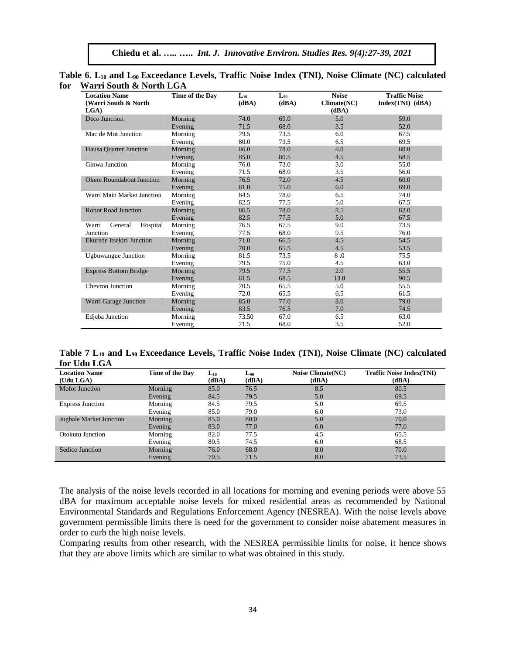| <b>Location Name</b><br>(Warri South & North<br>LG(A) | Time of the Day | $\mathbf{L}_{10}$<br>(dBA) | Loo<br>(dBA) | <b>Noise</b><br>Climate(NC)<br>(dBA) | <b>Traffic Noise</b><br>$Index(TNI)$ (dBA) |
|-------------------------------------------------------|-----------------|----------------------------|--------------|--------------------------------------|--------------------------------------------|
| Deco Junction                                         | Morning         | 74.0                       | 69.0         | 5.0                                  | 59.0                                       |
|                                                       | Evening         | 71.5                       | 68.0         | 3.5                                  | 52.0                                       |
| Mac de Mot Junction                                   | Morning         | 79.5                       | 73.5         | 6.0                                  | 67.5                                       |
|                                                       | Evening         | 80.0                       | 73.5         | 6.5                                  | 69.5                                       |
| Hausa Ouarter Junction                                | Morning         | 86.0                       | 78.0         | 8.0                                  | 80.0                                       |
|                                                       | Evening         | 85.0                       | 80.5         | 4.5                                  | 68.5                                       |
| Ginwa Junction                                        | Morning         | 76.0                       | 73.0         | 3.0                                  | 55.0                                       |
|                                                       | Evening         | 71.5                       | 68.0         | 3.5                                  | 56.0                                       |
| <b>Okere Roundabout Junction</b>                      | Morning         | 76.5                       | 72.0         | 4.5                                  | 60.0                                       |
|                                                       | Evening         | 81.0                       | 75.0         | 6.0                                  | 69.0                                       |
| Warri Main Market Junction                            | Morning         | 84.5                       | 78.0         | 6.5                                  | 74.0                                       |
|                                                       | Evening         | 82.5                       | 77.5         | 5.0                                  | 67.5                                       |
| <b>Robot Road Junction</b>                            | Morning         | 86.5                       | 78.0         | 8.5                                  | 82.0                                       |
|                                                       | Evening         | 82.5                       | 77.5         | 5.0                                  | 67.5                                       |
| Warri<br>General<br>Hospital                          | Morning         | 76.5                       | 67.5         | 9.0                                  | 73.5                                       |
| Junction                                              | Evening         | 77.5                       | 68.0         | 9.5                                  | 76.0                                       |
| Ekurede Itsekiri Junction                             | Morning         | 71.0                       | 66.5         | 4.5                                  | 54.5                                       |
|                                                       | Evening         | 70.0                       | 65.5         | 4.5                                  | 53.5                                       |
| <b>Ugbuwangue Junction</b>                            | Morning         | 81.5                       | 73.5         | 8.0                                  | 75.5                                       |
|                                                       | Evening         | 79.5                       | 75.0         | 4.5                                  | 63.0                                       |
| <b>Express Bottom Bridge</b>                          | Morning         | 79.5                       | 77.5         | 2.0                                  | 55.5                                       |
|                                                       | Evening         | 81.5                       | 68.5         | 13.0                                 | 90.5                                       |
| <b>Chevron Junction</b>                               | Morning         | 70.5                       | 65.5         | 5.0                                  | 55.5                                       |
|                                                       | Evening         | 72.0                       | 65.5         | 6.5                                  | 61.5                                       |
| Warri Garage Junction                                 | Morning         | 85.0                       | 77.0         | 8.0                                  | 79.0                                       |
|                                                       | Evening         | 83.5                       | 76.5         | 7.0                                  | 74.5                                       |
| Edjeba Junction                                       | Morning         | 73.50                      | 67.0         | 6.5                                  | 63.0                                       |
|                                                       | Evening         | 71.5                       | 68.0         | 3.5                                  | 52.0                                       |

**Table 6. L<sup>10</sup> and L90 Exceedance Levels, Traffic Noise Index (TNI), Noise Climate (NC) calculated for Warri South & North LGA**

**Table 7 L<sup>10</sup> and L90 Exceedance Levels, Traffic Noise Index (TNI), Noise Climate (NC) calculated for Udu LGA**

| <b>Location Name</b>           | Time of the Day | $L_{10}$ | $L_{90}$ | <b>Noise Climate(NC)</b> | <b>Traffic Noise Index(TNI)</b> |
|--------------------------------|-----------------|----------|----------|--------------------------|---------------------------------|
| (Udu LGA)                      |                 | (dBA)    | (dBA)    | (dBA)                    | (dBA)                           |
| <b>Mofor Junction</b>          | Morning         | 85.0     | 76.5     | 8.5                      | 80.5                            |
|                                | Evening         | 84.5     | 79.5     | 5.0                      | 69.5                            |
| <b>Express Junction</b>        | Morning         | 84.5     | 79.5     | 5.0                      | 69.5                            |
|                                | Evening         | 85.0     | 79.0     | 6.0                      | 73.0                            |
| <b>Jugbale Market Junction</b> | Morning         | 85.0     | 80.0     | 5.0                      | 70.0                            |
|                                | Evening         | 83.0     | 77.0     | 6.0                      | 77.0                            |
| Otokutu Junction               | Morning         | 82.0     | 77.5     | 4.5                      | 65.5                            |
|                                | Evening         | 80.5     | 74.5     | 6.0                      | 68.5                            |
| Sedico Junction                | Morning         | 76.0     | 68.0     | 8.0                      | 70.0                            |
|                                | Evening         | 79.5     | 71.5     | 8.0                      | 73.5                            |

The analysis of the noise levels recorded in all locations for morning and evening periods were above 55 dBA for maximum acceptable noise levels for mixed residential areas as recommended by National Environmental Standards and Regulations Enforcement Agency (NESREA). With the noise levels above government permissible limits there is need for the government to consider noise abatement measures in order to curb the high noise levels.

Comparing results from other research, with the NESREA permissible limits for noise, it hence shows that they are above limits which are similar to what was obtained in this study.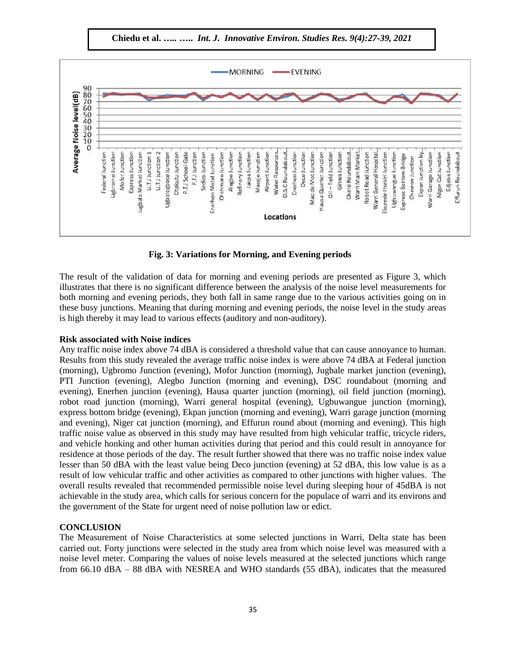**Chiedu et al.** *…..* **…..** *Int. J. Innovative Environ. Studies Res. 9(4):27-39, 2021*



**Fig. 3: Variations for Morning, and Evening periods**

The result of the validation of data for morning and evening periods are presented as Figure 3, which illustrates that there is no significant difference between the analysis of the noise level measurements for both morning and evening periods, they both fall in same range due to the various activities going on in these busy junctions. Meaning that during morning and evening periods, the noise level in the study areas is high thereby it may lead to various effects (auditory and non-auditory).

# **Risk associated with Noise indices**

Any traffic noise index above 74 dBA is considered a threshold value that can cause annoyance to human. Results from this study revealed the average traffic noise index is were above 74 dBA at Federal junction (morning), Ugbromo Junction (evening), Mofor Junction (morning), Jugbale market junction (evening), PTI Junction (evening), Alegbo Junction (morning and evening), DSC roundabout (morning and evening), Enerhen junction (evening), Hausa quarter junction (morning), oil field junction (morning), robot road junction (morning), Warri general hospital (evening), Ugbuwangue junction (morning), express bottom bridge (evening), Ekpan junction (morning and evening), Warri garage junction (morning and evening), Niger cat junction (morning), and Effurun round about (morning and evening). This high traffic noise value as observed in this study may have resulted from high vehicular traffic, tricycle riders, and vehicle honking and other human activities during that period and this could result in annoyance for residence at those periods of the day. The result further showed that there was no traffic noise index value lesser than 50 dBA with the least value being Deco junction (evening) at 52 dBA, this low value is as a result of low vehicular traffic and other activities as compared to other junctions with higher values. The overall results revealed that recommended permissible noise level during sleeping hour of 45dBA is not achievable in the study area, which calls for serious concern for the populace of warri and its environs and the government of the State for urgent need of noise pollution law or edict.

# **CONCLUSION**

The Measurement of Noise Characteristics at some selected junctions in Warri, Delta state has been carried out. Forty junctions were selected in the study area from which noise level was measured with a noise level meter. Comparing the values of noise levels measured at the selected junctions which range from 66.10 dBA – 88 dBA with NESREA and WHO standards (55 dBA), indicates that the measured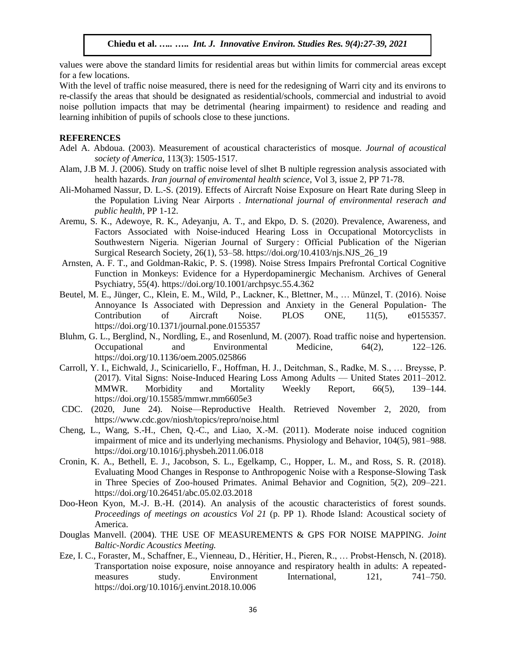values were above the standard limits for residential areas but within limits for commercial areas except for a few locations.

With the level of traffic noise measured, there is need for the redesigning of Warri city and its environs to re-classify the areas that should be designated as residential/schools, commercial and industrial to avoid noise pollution impacts that may be detrimental (hearing impairment) to residence and reading and learning inhibition of pupils of schools close to these junctions.

#### **REFERENCES**

- Adel A. Abdoua. (2003). Measurement of acoustical characteristics of mosque. *Journal of acoustical society of America*, 113(3): 1505-1517.
- Alam, J.B M. J. (2006). Study on traffic noise level of slhet B nultiple regression analysis associated with health hazards. *Iran journal of enviromental health science*, Vol 3, issue 2, PP 71-78.
- Ali-Mohamed Nassur, D. L.-S. (2019). Effects of Aircraft Noise Exposure on Heart Rate during Sleep in the Population Living Near Airports . *International journal of environmental reserach and public health*, PP 1-12.
- Aremu, S. K., Adewoye, R. K., Adeyanju, A. T., and Ekpo, D. S. (2020). Prevalence, Awareness, and Factors Associated with Noise-induced Hearing Loss in Occupational Motorcyclists in Southwestern Nigeria. Nigerian Journal of Surgery : Official Publication of the Nigerian Surgical Research Society, 26(1), 53–58. https://doi.org/10.4103/njs.NJS\_26\_19
- Arnsten, A. F. T., and Goldman-Rakic, P. S. (1998). Noise Stress Impairs Prefrontal Cortical Cognitive Function in Monkeys: Evidence for a Hyperdopaminergic Mechanism. Archives of General Psychiatry, 55(4). https://doi.org/10.1001/archpsyc.55.4.362
- Beutel, M. E., Jünger, C., Klein, E. M., Wild, P., Lackner, K., Blettner, M., … Münzel, T. (2016). Noise Annoyance Is Associated with Depression and Anxiety in the General Population- The Contribution of Aircraft Noise. PLOS ONE, 11(5), e0155357. https://doi.org/10.1371/journal.pone.0155357
- Bluhm, G. L., Berglind, N., Nordling, E., and Rosenlund, M. (2007). Road traffic noise and hypertension. Occupational and Environmental Medicine, 64(2), 122–126. https://doi.org/10.1136/oem.2005.025866
- Carroll, Y. I., Eichwald, J., Scinicariello, F., Hoffman, H. J., Deitchman, S., Radke, M. S., … Breysse, P. (2017). Vital Signs: Noise-Induced Hearing Loss Among Adults — United States 2011–2012. MMWR. Morbidity and Mortality Weekly Report, 66(5), 139–144. https://doi.org/10.15585/mmwr.mm6605e3
- CDC. (2020, June 24). Noise—Reproductive Health. Retrieved November 2, 2020, from https://www.cdc.gov/niosh/topics/repro/noise.html
- Cheng, L., Wang, S.-H., Chen, Q.-C., and Liao, X.-M. (2011). Moderate noise induced cognition impairment of mice and its underlying mechanisms. Physiology and Behavior, 104(5), 981–988. https://doi.org/10.1016/j.physbeh.2011.06.018
- Cronin, K. A., Bethell, E. J., Jacobson, S. L., Egelkamp, C., Hopper, L. M., and Ross, S. R. (2018). Evaluating Mood Changes in Response to Anthropogenic Noise with a Response-Slowing Task in Three Species of Zoo-housed Primates. Animal Behavior and Cognition, 5(2), 209–221. https://doi.org/10.26451/abc.05.02.03.2018
- Doo-Heon Kyon, M.-J. B.-H. (2014). An analysis of the acoustic characteristics of forest sounds. *Proceedings of meetings on acoustics Vol 21* (p. PP 1). Rhode Island: Acoustical society of America.
- Douglas Manvell. (2004). THE USE OF MEASUREMENTS & GPS FOR NOISE MAPPING. *Joint Baltic-Nordic Acoustics Meeting.*
- Eze, I. C., Foraster, M., Schaffner, E., Vienneau, D., Héritier, H., Pieren, R., … Probst-Hensch, N. (2018). Transportation noise exposure, noise annoyance and respiratory health in adults: A repeatedmeasures study. Environment International, 121, 741–750. https://doi.org/10.1016/j.envint.2018.10.006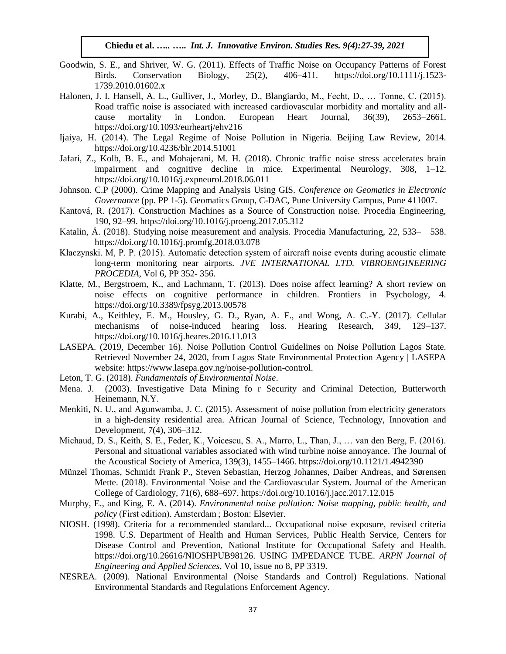- Goodwin, S. E., and Shriver, W. G. (2011). Effects of Traffic Noise on Occupancy Patterns of Forest Birds. Conservation Biology, 25(2), 406–411. https://doi.org/10.1111/j.1523- 1739.2010.01602.x
- Halonen, J. I. Hansell, A. L., Gulliver, J., Morley, D., Blangiardo, M., Fecht, D., … Tonne, C. (2015). Road traffic noise is associated with increased cardiovascular morbidity and mortality and allcause mortality in London. European Heart Journal, 36(39), 2653–2661. https://doi.org/10.1093/eurheartj/ehv216
- Ijaiya, H. (2014). The Legal Regime of Noise Pollution in Nigeria. Beijing Law Review, 2014. https://doi.org/10.4236/blr.2014.51001
- Jafari, Z., Kolb, B. E., and Mohajerani, M. H. (2018). Chronic traffic noise stress accelerates brain impairment and cognitive decline in mice. Experimental Neurology, 308, 1–12. https://doi.org/10.1016/j.expneurol.2018.06.011
- Johnson. C.P (2000). Crime Mapping and Analysis Using GIS. *Conference on Geomatics in Electronic Governance* (pp. PP 1-5). Geomatics Group, C-DAC, Pune University Campus, Pune 411007.
- Kantová, R. (2017). Construction Machines as a Source of Construction noise. Procedia Engineering, 190, 92–99. https://doi.org/10.1016/j.proeng.2017.05.312
- Katalin, Á. (2018). Studying noise measurement and analysis. Procedia Manufacturing, 22, 533– 538. https://doi.org/10.1016/j.promfg.2018.03.078
- Kłaczynski. M, P. P. (2015). Automatic detection system of aircraft noise events during acoustic climate long-term monitoring near airports. *JVE INTERNATIONAL LTD. VIBROENGINEERING PROCEDIA*, Vol 6, PP 352- 356.
- Klatte, M., Bergstroem, K., and Lachmann, T. (2013). Does noise affect learning? A short review on noise effects on cognitive performance in children. Frontiers in Psychology, 4. https://doi.org/10.3389/fpsyg.2013.00578
- Kurabi, A., Keithley, E. M., Housley, G. D., Ryan, A. F., and Wong, A. C.-Y. (2017). Cellular mechanisms of noise-induced hearing loss. Hearing Research, 349, 129–137. https://doi.org/10.1016/j.heares.2016.11.013
- LASEPA. (2019, December 16). Noise Pollution Control Guidelines on Noise Pollution Lagos State. Retrieved November 24, 2020, from Lagos State Environmental Protection Agency | LASEPA website: https://www.lasepa.gov.ng/noise-pollution-control.
- Leton, T. G. (2018). *Fundamentals of Environmental Noise*.
- Mena. J. (2003). Investigative Data Mining fo r Security and Criminal Detection, Butterworth Heinemann, N.Y.
- Menkiti, N. U., and Agunwamba, J. C. (2015). Assessment of noise pollution from electricity generators in a high-density residential area. African Journal of Science, Technology, Innovation and Development, 7(4), 306–312.
- Michaud, D. S., Keith, S. E., Feder, K., Voicescu, S. A., Marro, L., Than, J., … van den Berg, F. (2016). Personal and situational variables associated with wind turbine noise annoyance. The Journal of the Acoustical Society of America, 139(3), 1455–1466. https://doi.org/10.1121/1.4942390
- Münzel Thomas, Schmidt Frank P., Steven Sebastian, Herzog Johannes, Daiber Andreas, and Sørensen Mette. (2018). Environmental Noise and the Cardiovascular System. Journal of the American College of Cardiology, 71(6), 688–697. https://doi.org/10.1016/j.jacc.2017.12.015
- Murphy, E., and King, E. A. (2014). *Environmental noise pollution: Noise mapping, public health, and policy* (First edition). Amsterdam ; Boston: Elsevier.
- NIOSH. (1998). Criteria for a recommended standard... Occupational noise exposure, revised criteria 1998. U.S. Department of Health and Human Services, Public Health Service, Centers for Disease Control and Prevention, National Institute for Occupational Safety and Health. https://doi.org/10.26616/NIOSHPUB98126. USING IMPEDANCE TUBE. *ARPN Journal of Engineering and Applied Sciences*, Vol 10, issue no 8, PP 3319.
- NESREA. (2009). National Environmental (Noise Standards and Control) Regulations. National Environmental Standards and Regulations Enforcement Agency.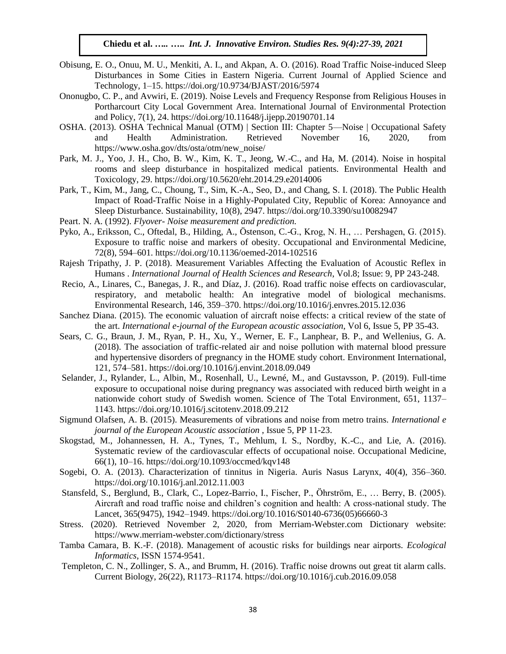- Obisung, E. O., Onuu, M. U., Menkiti, A. I., and Akpan, A. O. (2016). Road Traffic Noise-induced Sleep Disturbances in Some Cities in Eastern Nigeria. Current Journal of Applied Science and Technology, 1–15. https://doi.org/10.9734/BJAST/2016/5974
- Ononugbo, C. P., and Avwiri, E. (2019). Noise Levels and Frequency Response from Religious Houses in Portharcourt City Local Government Area. International Journal of Environmental Protection and Policy, 7(1), 24. https://doi.org/10.11648/j.ijepp.20190701.14
- OSHA. (2013). OSHA Technical Manual (OTM) | Section III: Chapter 5—Noise | Occupational Safety and Health Administration. Retrieved November 16, 2020, from https://www.osha.gov/dts/osta/otm/new\_noise/
- Park, M. J., Yoo, J. H., Cho, B. W., Kim, K. T., Jeong, W.-C., and Ha, M. (2014). Noise in hospital rooms and sleep disturbance in hospitalized medical patients. Environmental Health and Toxicology, 29. https://doi.org/10.5620/eht.2014.29.e2014006
- Park, T., Kim, M., Jang, C., Choung, T., Sim, K.-A., Seo, D., and Chang, S. I. (2018). The Public Health Impact of Road-Traffic Noise in a Highly-Populated City, Republic of Korea: Annoyance and Sleep Disturbance. Sustainability, 10(8), 2947. https://doi.org/10.3390/su10082947
- Peart. N. A. (1992). *Flyover- Noise measurement and prediction.*
- Pyko, A., Eriksson, C., Oftedal, B., Hilding, A., Östenson, C.-G., Krog, N. H., … Pershagen, G. (2015). Exposure to traffic noise and markers of obesity. Occupational and Environmental Medicine, 72(8), 594–601. https://doi.org/10.1136/oemed-2014-102516
- Rajesh Tripathy, J. P. (2018). Measurement Variables Affecting the Evaluation of Acoustic Reflex in Humans . *International Journal of Health Sciences and Research*, Vol.8; Issue: 9, PP 243-248.
- Recio, A., Linares, C., Banegas, J. R., and Díaz, J. (2016). Road traffic noise effects on cardiovascular, respiratory, and metabolic health: An integrative model of biological mechanisms. Environmental Research, 146, 359–370. https://doi.org/10.1016/j.envres.2015.12.036
- Sanchez Diana. (2015). The economic valuation of aircraft noise effects: a critical review of the state of the art. *International e-journal of the European acoustic association*, Vol 6, Issue 5, PP 35-43.
- Sears, C. G., Braun, J. M., Ryan, P. H., Xu, Y., Werner, E. F., Lanphear, B. P., and Wellenius, G. A. (2018). The association of traffic-related air and noise pollution with maternal blood pressure and hypertensive disorders of pregnancy in the HOME study cohort. Environment International, 121, 574–581. https://doi.org/10.1016/j.envint.2018.09.049
- Selander, J., Rylander, L., Albin, M., Rosenhall, U., Lewné, M., and Gustavsson, P. (2019). Full-time exposure to occupational noise during pregnancy was associated with reduced birth weight in a nationwide cohort study of Swedish women. Science of The Total Environment, 651, 1137– 1143. https://doi.org/10.1016/j.scitotenv.2018.09.212
- Sigmund Olafsen, A. B. (2015). Measurements of vibrations and noise from metro trains. *International e journal of the European Acoustic association* , Issue 5, PP 11-23.
- Skogstad, M., Johannessen, H. A., Tynes, T., Mehlum, I. S., Nordby, K.-C., and Lie, A. (2016). Systematic review of the cardiovascular effects of occupational noise. Occupational Medicine, 66(1), 10–16. https://doi.org/10.1093/occmed/kqv148
- Sogebi, O. A. (2013). Characterization of tinnitus in Nigeria. Auris Nasus Larynx, 40(4), 356–360. https://doi.org/10.1016/j.anl.2012.11.003
- Stansfeld, S., Berglund, B., Clark, C., Lopez-Barrio, I., Fischer, P., Öhrström, E., … Berry, B. (2005). Aircraft and road traffic noise and children's cognition and health: A cross-national study. The Lancet, 365(9475), 1942–1949. https://doi.org/10.1016/S0140-6736(05)66660-3
- Stress. (2020). Retrieved November 2, 2020, from Merriam-Webster.com Dictionary website: https://www.merriam-webster.com/dictionary/stress
- Tamba Camara, B. K.-F. (2018). Management of acoustic risks for buildings near airports. *Ecological Informatics*, ISSN 1574-9541.
- Templeton, C. N., Zollinger, S. A., and Brumm, H. (2016). Traffic noise drowns out great tit alarm calls. Current Biology, 26(22), R1173–R1174. https://doi.org/10.1016/j.cub.2016.09.058